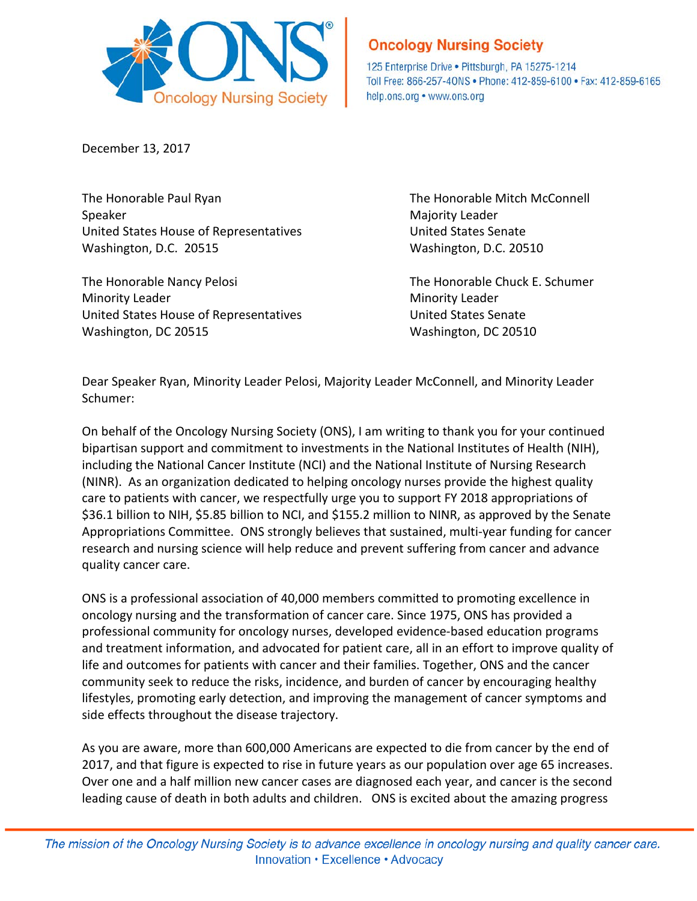

## **Oncology Nursing Society**

125 Enterprise Drive . Pittsburgh, PA 15275-1214 Toll Free: 866-257-40NS · Phone: 412-859-6100 · Fax: 412-859-6165 help.ons.org • www.ons.org

December 13, 2017

The Honorable Paul Ryan The Honorable Mitch McConnell Speaker Majority Leader New York 1999, 1999, 1999, 1999, 1999, 1999, 1999, 1999, 1999, 1999, 1999, 1999, 1999, 1999, 1999, 1999, 1999, 1999, 1999, 1999, 1999, 1999, 1999, 1999, 1999, 1999, 1999, 1999, 1999, 1999, 1999, 199 United States House of Representatives and Muslim United States Senate Washington, D.C. 20515 Washington, D.C. 20510

The Honorable Nancy Pelosi **The Honorable Chuck E. Schumer** Minority Leader **Minority Leader Minority Leader** United States House of Representatives United States Senate Washington, DC 20515 Washington, DC 20510

Dear Speaker Ryan, Minority Leader Pelosi, Majority Leader McConnell, and Minority Leader Schumer:

On behalf of the Oncology Nursing Society (ONS), I am writing to thank you for your continued bipartisan support and commitment to investments in the National Institutes of Health (NIH), including the National Cancer Institute (NCI) and the National Institute of Nursing Research (NINR). As an organization dedicated to helping oncology nurses provide the highest quality care to patients with cancer, we respectfully urge you to support FY 2018 appropriations of \$36.1 billion to NIH, \$5.85 billion to NCI, and \$155.2 million to NINR, as approved by the Senate Appropriations Committee. ONS strongly believes that sustained, multi-year funding for cancer research and nursing science will help reduce and prevent suffering from cancer and advance quality cancer care.

ONS is a professional association of 40,000 members committed to promoting excellence in oncology nursing and the transformation of cancer care. Since 1975, ONS has provided a professional community for oncology nurses, developed evidence-based education programs and treatment information, and advocated for patient care, all in an effort to improve quality of life and outcomes for patients with cancer and their families. Together, ONS and the cancer community seek to reduce the risks, incidence, and burden of cancer by encouraging healthy lifestyles, promoting early detection, and improving the management of cancer symptoms and side effects throughout the disease trajectory.

As you are aware, more than 600,000 Americans are expected to die from cancer by the end of 2017, and that figure is expected to rise in future years as our population over age 65 increases. Over one and a half million new cancer cases are diagnosed each year, and cancer is the second leading cause of death in both adults and children. ONS is excited about the amazing progress